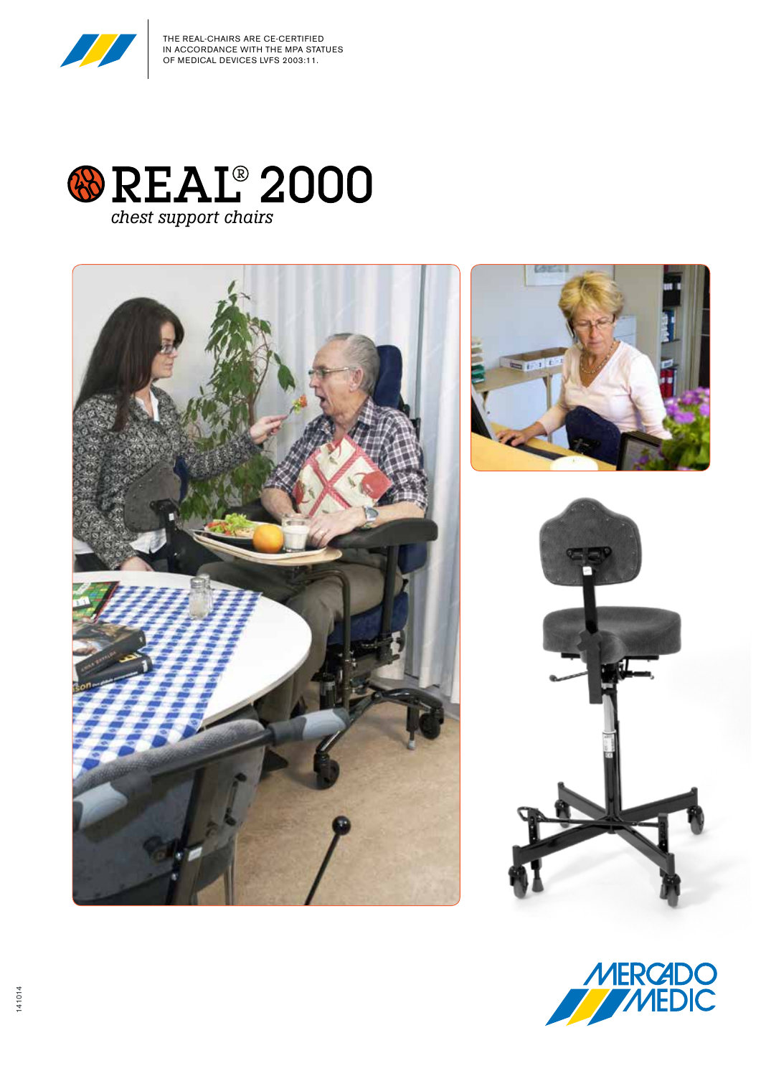

THE REAL-CHAIRS ARE CE-CERTIFIED IN ACCORDANCE WITH THE MPA STATUES OF MEDICAL DEVICES LVFS 2003:11.





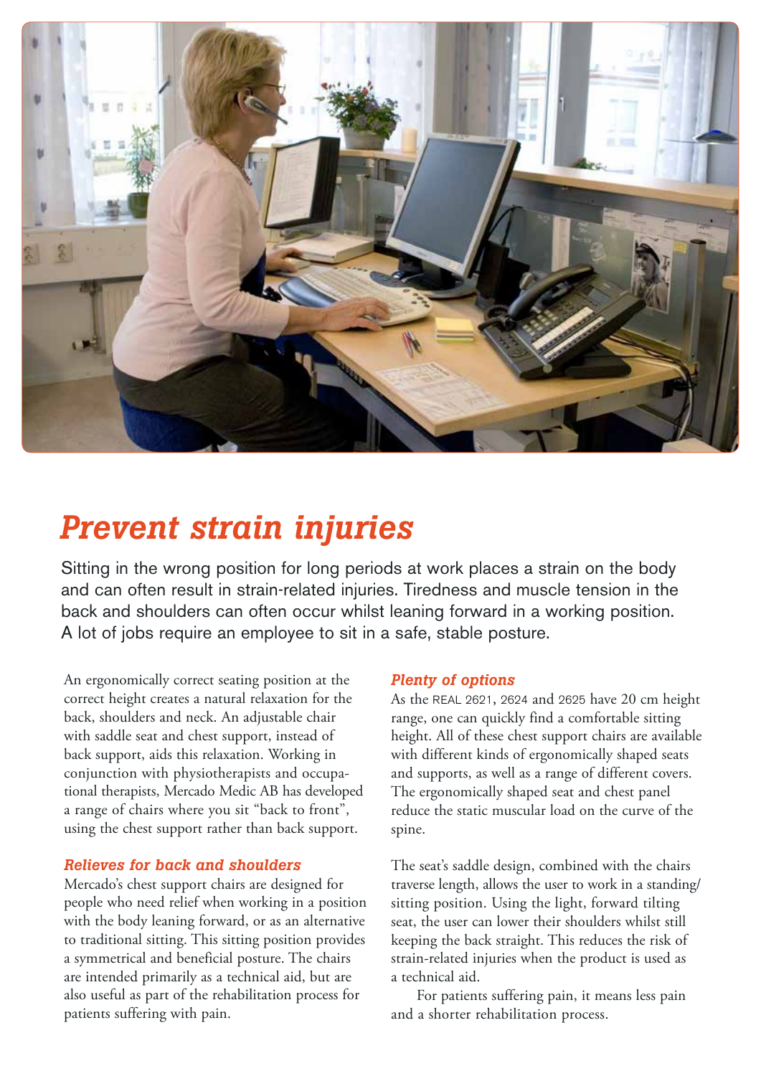

## *Prevent strain injuries*

Sitting in the wrong position for long periods at work places a strain on the body and can often result in strain-related injuries. Tiredness and muscle tension in the back and shoulders can often occur whilst leaning forward in a working position. A lot of jobs require an employee to sit in a safe, stable posture.

An ergonomically correct seating position at the correct height creates a natural relaxation for the back, shoulders and neck. An adjustable chair with saddle seat and chest support, instead of back support, aids this relaxation. Working in conjunction with physiotherapists and occupational therapists, Mercado Medic AB has developed a range of chairs where you sit "back to front", using the chest support rather than back support.

## *Relieves for back and shoulders*

Mercado's chest support chairs are designed for people who need relief when working in a position with the body leaning forward, or as an alternative to traditional sitting. This sitting position provides a symmetrical and beneficial posture. The chairs are intended primarily as a technical aid, but are also useful as part of the rehabilitation process for patients suffering with pain.

## *Plenty of options*

As the REAL 2621, 2624 and 2625 have 20 cm height range, one can quickly find a comfortable sitting height. All of these chest support chairs are available with different kinds of ergonomically shaped seats and supports, as well as a range of different covers. The ergonomically shaped seat and chest panel reduce the static muscular load on the curve of the spine.

The seat's saddle design, combined with the chairs traverse length, allows the user to work in a standing/ sitting position. Using the light, forward tilting seat, the user can lower their shoulders whilst still keeping the back straight. This reduces the risk of strain-related injuries when the product is used as a technical aid.

For patients suffering pain, it means less pain and a shorter rehabilitation process.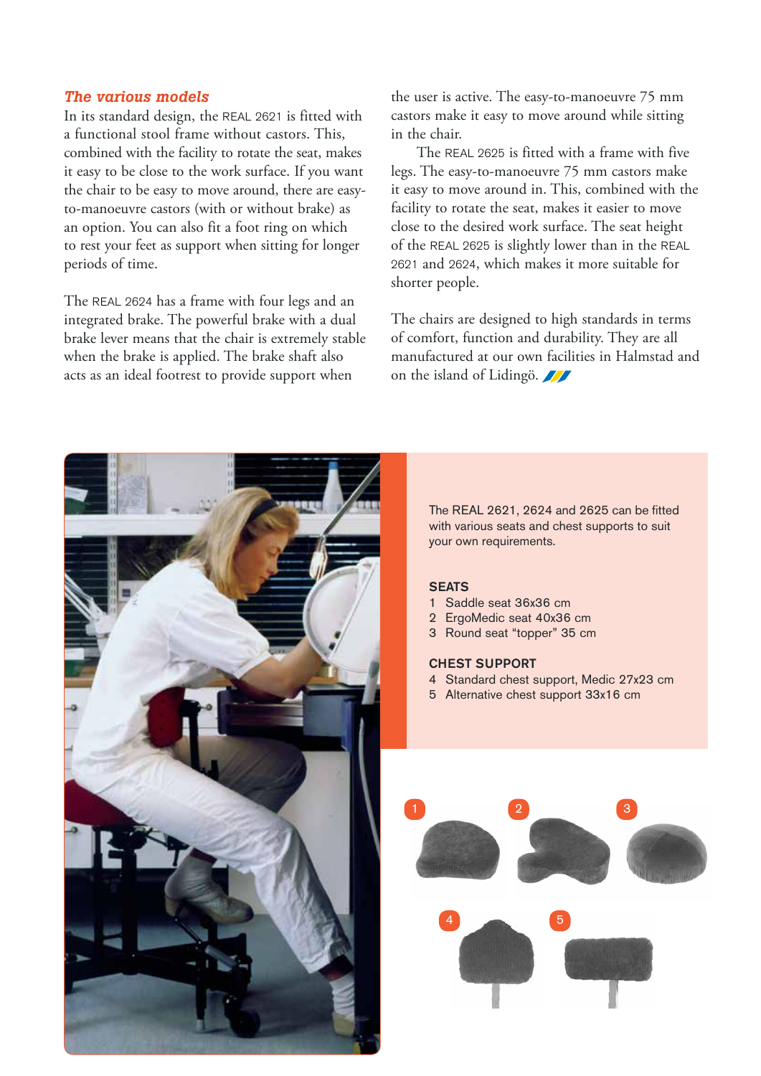## *The various models*

In its standard design, the REAL 2621 is fitted with a functional stool frame without castors. This, combined with the facility to rotate the seat, makes it easy to be close to the work surface. If you want the chair to be easy to move around, there are easyto-manoeuvre castors (with or without brake) as an option. You can also fit a foot ring on which to rest your feet as support when sitting for longer periods of time.

The REAL 2624 has a frame with four legs and an integrated brake. The powerful brake with a dual brake lever means that the chair is extremely stable when the brake is applied. The brake shaft also acts as an ideal footrest to provide support when

the user is active. The easy-to-manoeuvre 75 mm castors make it easy to move around while sitting in the chair.

The REAL 2625 is fitted with a frame with five legs. The easy-to-manoeuvre 75 mm castors make it easy to move around in. This, combined with the facility to rotate the seat, makes it easier to move close to the desired work surface. The seat height of the REAL 2625 is slightly lower than in the REAL 2621 and 2624, which makes it more suitable for shorter people.

The chairs are designed to high standards in terms of comfort, function and durability. They are all manufactured at our own facilities in Halmstad and on the island of Lidingö.



with various seats and chest supports to suit

- 4 Standard chest support, Medic 27x23 cm
-